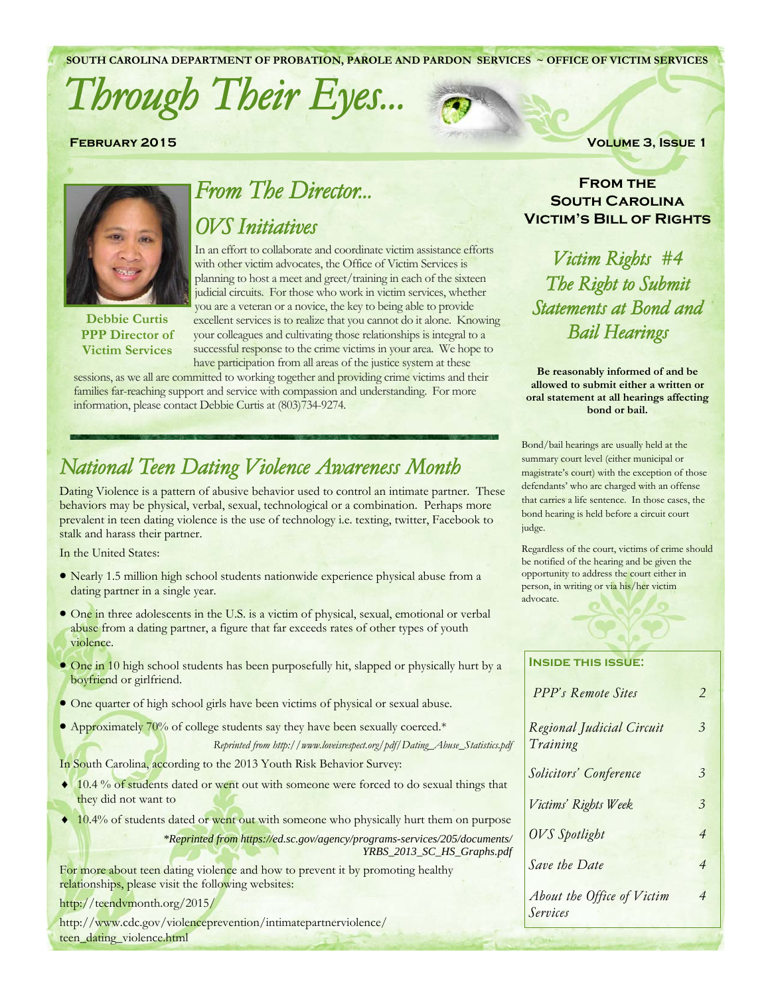**SOUTH CAROLINA DEPARTMENT OF PROBATION, PAROLE AND PARDON SERVICES ~ OFFICE OF VICTIM SERVICES** 

# *Through Their Eyes...*





### *OVS Initiatives*

In an effort to collaborate and coordinate victim assistance efforts with other victim advocates, the Office of Victim Services is planning to host a meet and greet/training in each of the sixteen judicial circuits. For those who work in victim services, whether you are a veteran or a novice, the key to being able to provide excellent services is to realize that you cannot do it alone. Knowing your colleagues and cultivating those relationships is integral to a successful response to the crime victims in your area. We hope to have participation from all areas of the justice system at these

sessions, as we all are committed to working together and providing crime victims and their families far-reaching support and service with compassion and understanding. For more information, please contact Debbie Curtis at (803)734-9274.

# *National Teen Dating Violence Awareness Month*

Dating Violence is a pattern of abusive behavior used to control an intimate partner. These behaviors may be physical, verbal, sexual, technological or a combination. Perhaps more prevalent in teen dating violence is the use of technology i.e. texting, twitter, Facebook to stalk and harass their partner.

In the United States:

- Nearly 1.5 million high school students nationwide experience physical abuse from a dating partner in a single year.
- One in three adolescents in the U.S. is a victim of physical, sexual, emotional or verbal abuse from a dating partner, a figure that far exceeds rates of other types of youth violence.
- One in 10 high school students has been purposefully hit, slapped or physically hurt by a boyfriend or girlfriend.
- One quarter of high school girls have been victims of physical or sexual abuse.
- Approximately 70% of college students say they have been sexually coerced.\*

*Reprinted from http://www.loveisrespect.org/pdf/Dating\_Abuse\_Statistics.pdf* 

In South Carolina, according to the 2013 Youth Risk Behavior Survey:

- ◆ 10.4 % of students dated or went out with someone were forced to do sexual things that they did not want to
- ♦ 10.4% of students dated or went out with someone who physically hurt them on purpose
	- *\*Reprinted from https://ed.sc.gov/agency/programs-services/205/documents/ YRBS\_2013\_SC\_HS\_Graphs.pdf*

For more about teen dating violence and how to prevent it by promoting healthy relationships, please visit the following websites:

http://teendvmonth.org/2015/

http://www.cdc.gov/violenceprevention/intimatepartnerviolence/ teen\_dating\_violence.html

**FEBRUARY 2015** VOLUME 3, ISSUE 1

### **From the South Carolina Victim's Bill of Rights**

*Victim Rights #4 The Right to Submit Statements at Bond and Bail Hearings* 

**Be reasonably informed of and be allowed to submit either a written or oral statement at all hearings affecting bond or bail.** 

Bond/bail hearings are usually held at the summary court level (either municipal or magistrate's court) with the exception of those defendants' who are charged with an offense that carries a life sentence. In those cases, the bond hearing is held before a circuit court judge.

Regardless of the court, victims of crime should be notified of the hearing and be given the opportunity to address the court either in person, in writing or via his/her victim advocate.

| <b>INSIDE THIS ISSUE:</b>              |                |
|----------------------------------------|----------------|
| PPP's Remote Sites                     | 2              |
| Regional Judicial Circuit<br>Training  | 3              |
| Solicitors' Conference                 | 3              |
| Victims' Rights Week                   | $\mathcal{Z}$  |
| <b>OVS</b> Spotlight                   | $\overline{4}$ |
| Save the Date                          | $\overline{4}$ |
| About the Office of Victim<br>Services | 4              |



**Debbie Curtis PPP Director of Victim Services**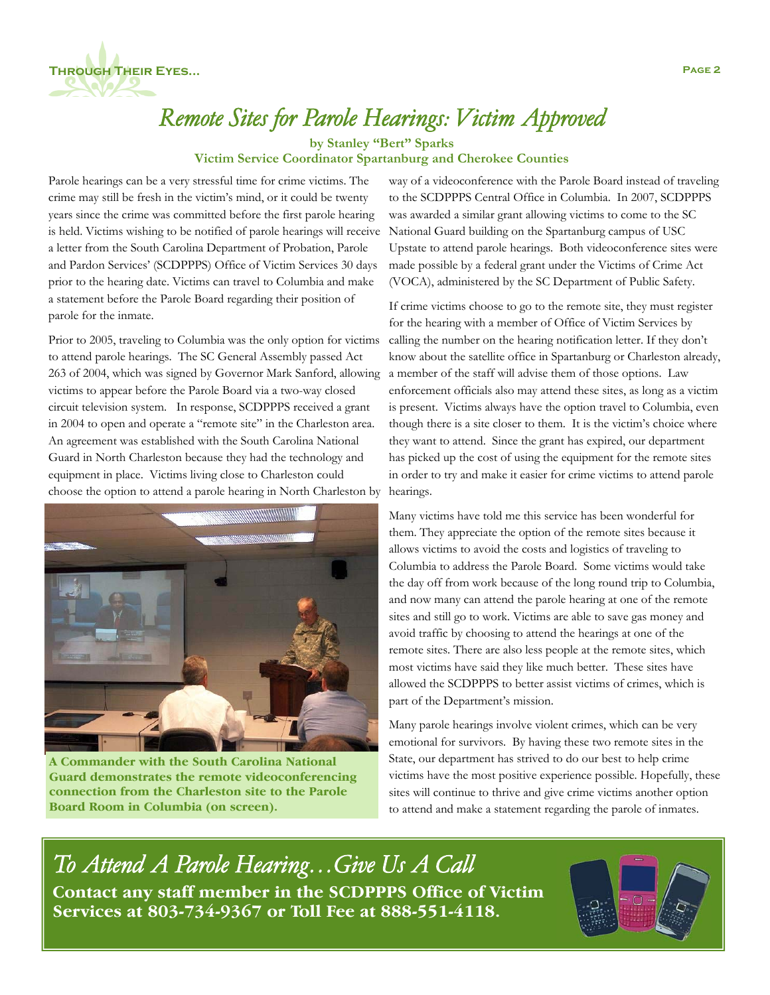

# *Remote Sites for Parole Hearings: Victim Approved*

**by Stanley "Bert" Sparks** 

### **Victim Service Coordinator Spartanburg and Cherokee Counties**

Parole hearings can be a very stressful time for crime victims. The crime may still be fresh in the victim's mind, or it could be twenty years since the crime was committed before the first parole hearing is held. Victims wishing to be notified of parole hearings will receive a letter from the South Carolina Department of Probation, Parole and Pardon Services' (SCDPPPS) Office of Victim Services 30 days prior to the hearing date. Victims can travel to Columbia and make a statement before the Parole Board regarding their position of parole for the inmate.

Prior to 2005, traveling to Columbia was the only option for victims to attend parole hearings. The SC General Assembly passed Act 263 of 2004, which was signed by Governor Mark Sanford, allowing victims to appear before the Parole Board via a two-way closed circuit television system. In response, SCDPPPS received a grant in 2004 to open and operate a "remote site" in the Charleston area. An agreement was established with the South Carolina National Guard in North Charleston because they had the technology and equipment in place. Victims living close to Charleston could choose the option to attend a parole hearing in North Charleston by



**A Commander with the South Carolina National Guard demonstrates the remote videoconferencing connection from the Charleston site to the Parole Board Room in Columbia (on screen).** 

way of a videoconference with the Parole Board instead of traveling to the SCDPPPS Central Office in Columbia. In 2007, SCDPPPS was awarded a similar grant allowing victims to come to the SC National Guard building on the Spartanburg campus of USC Upstate to attend parole hearings. Both videoconference sites were made possible by a federal grant under the Victims of Crime Act (VOCA), administered by the SC Department of Public Safety.

If crime victims choose to go to the remote site, they must register for the hearing with a member of Office of Victim Services by calling the number on the hearing notification letter. If they don't know about the satellite office in Spartanburg or Charleston already, a member of the staff will advise them of those options. Law enforcement officials also may attend these sites, as long as a victim is present. Victims always have the option travel to Columbia, even though there is a site closer to them. It is the victim's choice where they want to attend. Since the grant has expired, our department has picked up the cost of using the equipment for the remote sites in order to try and make it easier for crime victims to attend parole hearings.

Many victims have told me this service has been wonderful for them. They appreciate the option of the remote sites because it allows victims to avoid the costs and logistics of traveling to Columbia to address the Parole Board. Some victims would take the day off from work because of the long round trip to Columbia, and now many can attend the parole hearing at one of the remote sites and still go to work. Victims are able to save gas money and avoid traffic by choosing to attend the hearings at one of the remote sites. There are also less people at the remote sites, which most victims have said they like much better. These sites have allowed the SCDPPPS to better assist victims of crimes, which is part of the Department's mission.

Many parole hearings involve violent crimes, which can be very emotional for survivors. By having these two remote sites in the State, our department has strived to do our best to help crime victims have the most positive experience possible. Hopefully, these sites will continue to thrive and give crime victims another option to attend and make a statement regarding the parole of inmates.

*To Attend A Parole Hearing…Give Us A Call*  **Contact any staff member in the SCDPPPS Office of Victim Services at 803-734-9367 or Toll Fee at 888-551-4118.** 

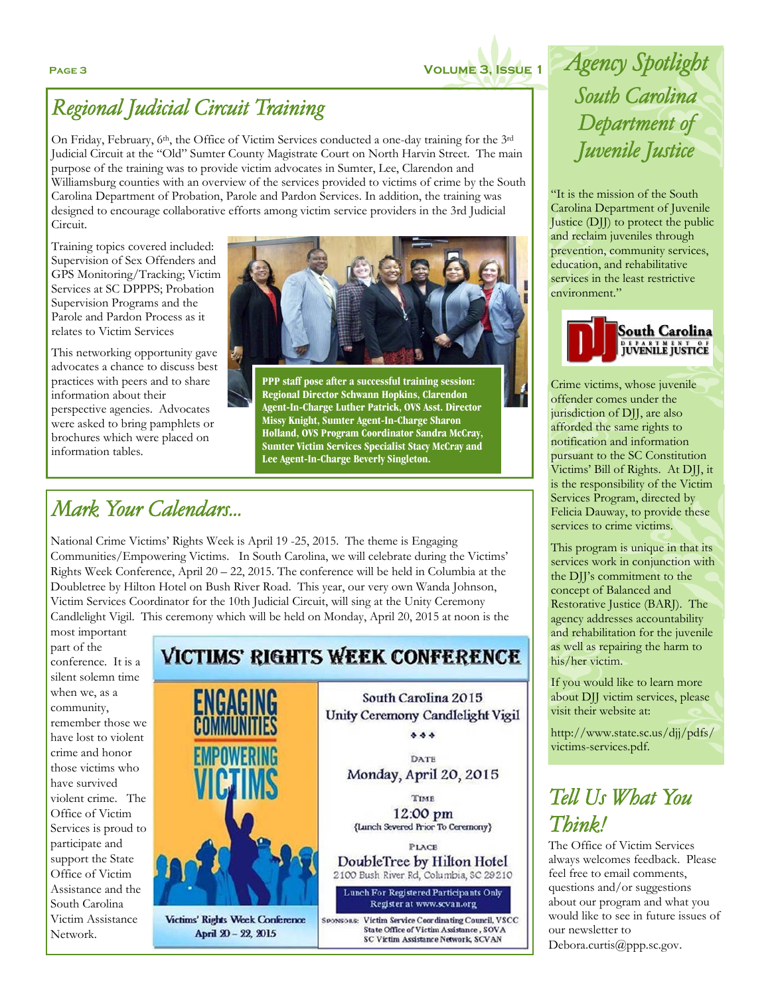

## *Regional Judicial Circuit Training*

On Friday, February, 6th, the Office of Victim Services conducted a one-day training for the 3rd Judicial Circuit at the "Old" Sumter County Magistrate Court on North Harvin Street. The main purpose of the training was to provide victim advocates in Sumter, Lee, Clarendon and Williamsburg counties with an overview of the services provided to victims of crime by the South Carolina Department of Probation, Parole and Pardon Services. In addition, the training was designed to encourage collaborative efforts among victim service providers in the 3rd Judicial Circuit.

Training topics covered included: Supervision of Sex Offenders and GPS Monitoring/Tracking; Victim Services at SC DPPPS; Probation Supervision Programs and the Parole and Pardon Process as it relates to Victim Services

This networking opportunity gave advocates a chance to discuss best practices with peers and to share information about their perspective agencies. Advocates were asked to bring pamphlets or brochures which were placed on information tables.



**PPP staff pose after a successful training session: Regional Director Schwann Hopkins, Clarendon Agent-In-Charge Luther Patrick, OVS Asst. Director Missy Knight, Sumter Agent-In-Charge Sharon Holland, OVS Program Coordinator Sandra McCray, Sumter Victim Services Specialist Stacy McCray and Lee Agent-In-Charge Beverly Singleton.** 

### *Mark Your Calendars...*

National Crime Victims' Rights Week is April 19 -25, 2015. The theme is Engaging Communities/Empowering Victims. In South Carolina, we will celebrate during the Victims' Rights Week Conference, April 20 – 22, 2015. The conference will be held in Columbia at the Doubletree by Hilton Hotel on Bush River Road. This year, our very own Wanda Johnson, Victim Services Coordinator for the 10th Judicial Circuit, will sing at the Unity Ceremony Candlelight Vigil. This ceremony which will be held on Monday, April 20, 2015 at noon is the

most important part of the conference. It is a silent solemn time when we, as a community, remember those we have lost to violent crime and honor those victims who have survived violent crime. The Office of Victim Services is proud to participate and support the State Office of Victim Assistance and the South Carolina Victim Assistance Network.

### **VICTIMS' RIGHTS WEEK CONFERENCE**

ENGAGING

Victims' Rights Week Conference April 20 - 22, 2015

South Carolina 2015 Unity Ceremony Candlelight Vigil  $555$ 

> DATE Monday, April 20, 2015

TIME 12:00 pm {Lunch Severed Prior To Ceremony}

PLACE DoubleTree by Hilton Hotel 2100 Bush River Rd, Columbia, SC 29210

Lunch For Registered Participants Only Register at www.scvan.org

SPONSORS: Victim Service Coordinating Council, VSCC State Office of Victim Assistance, SOVA **SC Victim Assistance Network, SCVAN** 

**Page 3 Volume 3, Issue 1** *Agency Spotlight South Carolina Department of Juvenile Justice*

> "It is the mission of the South Carolina Department of Juvenile Justice (DJJ) to protect the public and reclaim juveniles through prevention, community services, education, and rehabilitative services in the least restrictive environment."



Crime victims, whose juvenile offender comes under the jurisdiction of DJJ, are also afforded the same rights to notification and information pursuant to the SC Constitution Victims' Bill of Rights. At DJJ, it is the responsibility of the Victim Services Program, directed by Felicia Dauway, to provide these services to crime victims.

This program is unique in that its services work in conjunction with the DJJ's commitment to the concept of Balanced and Restorative Justice (BARJ). The agency addresses accountability and rehabilitation for the juvenile as well as repairing the harm to his/her victim.

If you would like to learn more about DJJ victim services, please visit their website at:

http://www.state.sc.us/djj/pdfs/ victims-services.pdf.

# *Tell Us What You Think!*

The Office of Victim Services always welcomes feedback. Please feel free to email comments, questions and/or suggestions about our program and what you would like to see in future issues of our newsletter to

Debora.curtis@ppp.sc.gov.